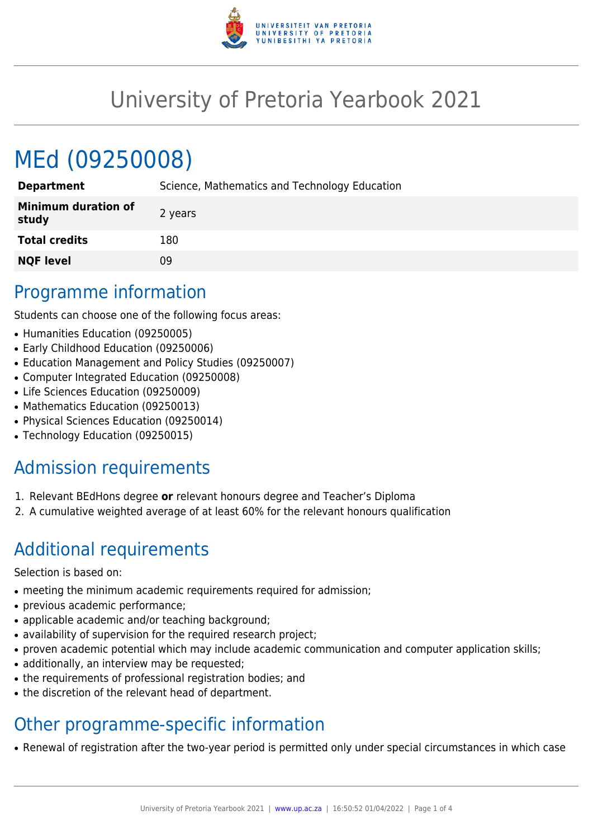

## University of Pretoria Yearbook 2021

# MEd (09250008)

| <b>Department</b>                   | Science, Mathematics and Technology Education |
|-------------------------------------|-----------------------------------------------|
| <b>Minimum duration of</b><br>study | 2 years                                       |
| <b>Total credits</b>                | 180                                           |
| <b>NQF level</b>                    | 09                                            |

#### Programme information

Students can choose one of the following focus areas:

- Humanities Education (09250005)
- Early Childhood Education (09250006)
- Education Management and Policy Studies (09250007)
- Computer Integrated Education (09250008)
- Life Sciences Education (09250009)
- Mathematics Education (09250013)
- Physical Sciences Education (09250014)
- Technology Education (09250015)

### Admission requirements

- 1. Relevant BEdHons degree **or** relevant honours degree and Teacher's Diploma
- 2. A cumulative weighted average of at least 60% for the relevant honours qualification

### Additional requirements

Selection is based on:

- meeting the minimum academic requirements required for admission;
- previous academic performance;
- applicable academic and/or teaching background;
- availability of supervision for the required research project;
- proven academic potential which may include academic communication and computer application skills;
- additionally, an interview may be requested;
- the requirements of professional registration bodies; and
- the discretion of the relevant head of department.

### Other programme-specific information

• Renewal of registration after the two-year period is permitted only under special circumstances in which case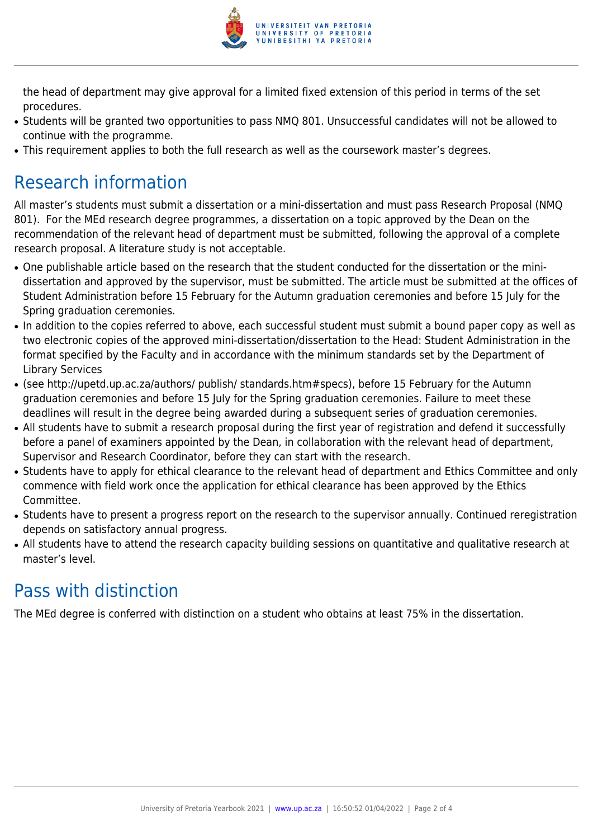

the head of department may give approval for a limited fixed extension of this period in terms of the set procedures.

- Students will be granted two opportunities to pass NMQ 801. Unsuccessful candidates will not be allowed to continue with the programme.
- This requirement applies to both the full research as well as the coursework master's degrees.

### Research information

All master's students must submit a dissertation or a mini-dissertation and must pass Research Proposal (NMQ 801). For the MEd research degree programmes, a dissertation on a topic approved by the Dean on the recommendation of the relevant head of department must be submitted, following the approval of a complete research proposal. A literature study is not acceptable.

- One publishable article based on the research that the student conducted for the dissertation or the minidissertation and approved by the supervisor, must be submitted. The article must be submitted at the offices of Student Administration before 15 February for the Autumn graduation ceremonies and before 15 July for the Spring graduation ceremonies.
- In addition to the copies referred to above, each successful student must submit a bound paper copy as well as two electronic copies of the approved mini-dissertation/dissertation to the Head: Student Administration in the format specified by the Faculty and in accordance with the minimum standards set by the Department of Library Services
- (see http://upetd.up.ac.za/authors/ publish/ standards.htm#specs), before 15 February for the Autumn graduation ceremonies and before 15 July for the Spring graduation ceremonies. Failure to meet these deadlines will result in the degree being awarded during a subsequent series of graduation ceremonies.
- All students have to submit a research proposal during the first year of registration and defend it successfully before a panel of examiners appointed by the Dean, in collaboration with the relevant head of department, Supervisor and Research Coordinator, before they can start with the research.
- Students have to apply for ethical clearance to the relevant head of department and Ethics Committee and only commence with field work once the application for ethical clearance has been approved by the Ethics Committee.
- Students have to present a progress report on the research to the supervisor annually. Continued reregistration depends on satisfactory annual progress.
- All students have to attend the research capacity building sessions on quantitative and qualitative research at master's level.

### Pass with distinction

The MEd degree is conferred with distinction on a student who obtains at least 75% in the dissertation.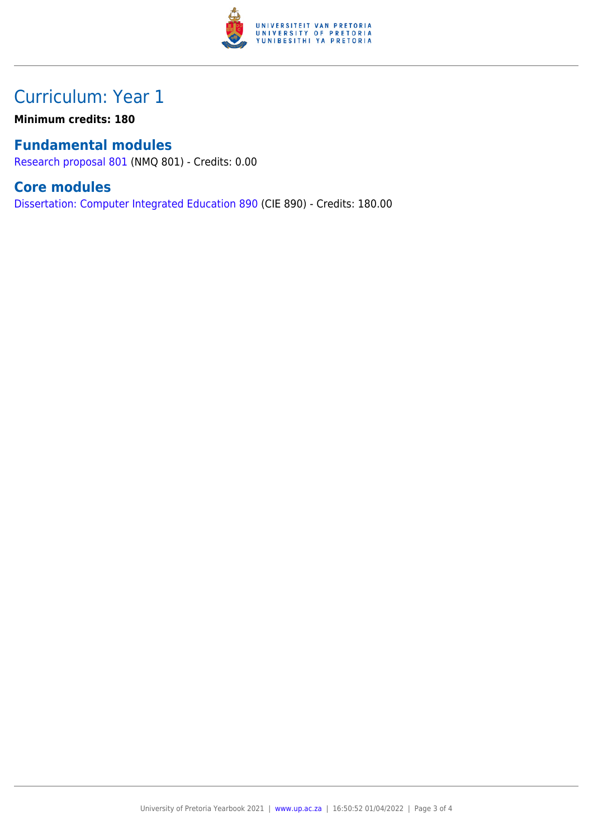

### Curriculum: Year 1

**Minimum credits: 180**

#### **Fundamental modules**

[Research proposal 801](https://www.up.ac.za/yearbooks/2021/modules/view/NMQ 801) (NMQ 801) - Credits: 0.00

#### **Core modules**

[Dissertation: Computer Integrated Education 890](https://www.up.ac.za/yearbooks/2021/modules/view/CIE 890) (CIE 890) - Credits: 180.00